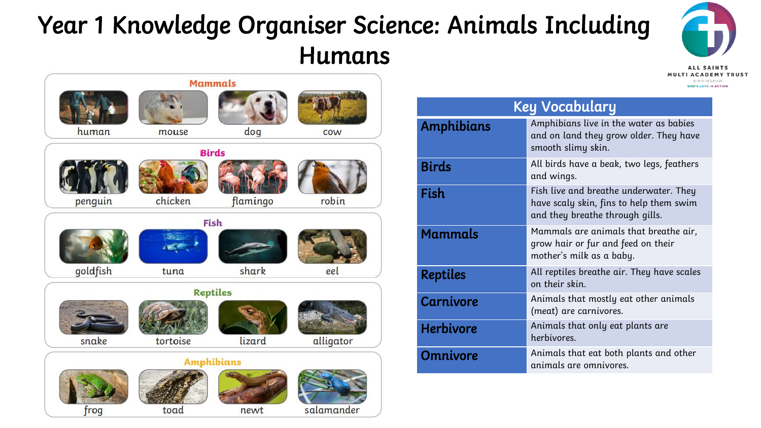## Year 1 Knowledge Organiser Science: Animals Including Humans

salamander





newt

toad

frog

| <b>Key Vocabulary</b> |                                                                                                                      |
|-----------------------|----------------------------------------------------------------------------------------------------------------------|
| Amphibians            | Amphibians live in the water as babies<br>and on land they grow older. They have<br>smooth slimy skin.               |
| <b>Birds</b>          | All birds have a beak, two legs, feathers<br>and wings.                                                              |
| Fish                  | Fish live and breathe underwater. They<br>have scaly skin, fins to help them swim<br>and they breathe through gills. |
| <b>Mammals</b>        | Mammals are animals that breathe air,<br>grow hair or fur and feed on their<br>mother's milk as a baby.              |
| <b>Reptiles</b>       | All reptiles breathe air. They have scales<br>on their skin.                                                         |
| <b>Carnivore</b>      | Animals that mostly eat other animals<br>(meat) are carnivores.                                                      |
| <b>Herbivore</b>      | Animals that only eat plants are<br>herbivores.                                                                      |
| <b>Omnivore</b>       | Animals that eat both plants and other<br>animals are omnivores.                                                     |
|                       |                                                                                                                      |